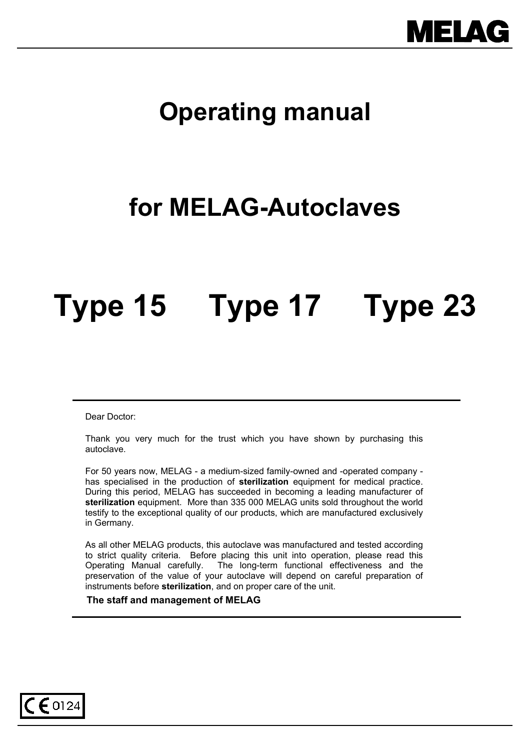

# **Operating manual**

# **for MELAG-Autoclaves**

# **Type 15 Type 17 Type 23**

Dear Doctor:

 $\mathsf{C}\mathsf{E}$  0124

Thank you very much for the trust which you have shown by purchasing this autoclave.

For 50 years now, MELAG - a medium-sized family-owned and -operated company has specialised in the production of **sterilization** equipment for medical practice. During this period, MELAG has succeeded in becoming a leading manufacturer of **sterilization** equipment. More than 335 000 MELAG units sold throughout the world testify to the exceptional quality of our products, which are manufactured exclusively in Germany.

As all other MELAG products, this autoclave was manufactured and tested according to strict quality criteria. Before placing this unit into operation, please read this Operating Manual carefully. The long-term functional effectiveness and the preservation of the value of your autoclave will depend on careful preparation of instruments before **sterilization**, and on proper care of the unit.

 **The staff and management of MELAG**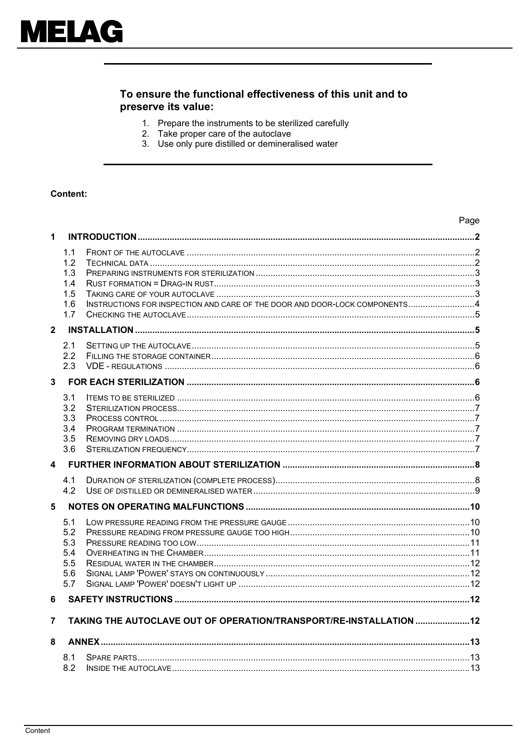## To ensure the functional effectiveness of this unit and to preserve its value:

- 1. Prepare the instruments to be sterilized carefully<br>2. Take proper care of the autoclave
- 
- 3. Use only pure distilled or demineralised water

#### **Content:**

|              |     |                                                                             | Page |  |  |
|--------------|-----|-----------------------------------------------------------------------------|------|--|--|
| 1            |     |                                                                             |      |  |  |
|              | 1.1 |                                                                             |      |  |  |
|              | 1.2 |                                                                             |      |  |  |
|              | 1.3 |                                                                             |      |  |  |
|              | 1.4 |                                                                             |      |  |  |
|              | 1.5 |                                                                             |      |  |  |
|              | 1.6 | INSTRUCTIONS FOR INSPECTION AND CARE OF THE DOOR AND DOOR-LOCK COMPONENTS 4 |      |  |  |
|              | 1.7 |                                                                             |      |  |  |
| $\mathbf{2}$ |     |                                                                             |      |  |  |
|              | 2.1 |                                                                             |      |  |  |
|              | 2.2 |                                                                             |      |  |  |
|              | 2.3 |                                                                             |      |  |  |
| 3            |     |                                                                             |      |  |  |
|              | 3.1 |                                                                             |      |  |  |
|              | 3.2 |                                                                             |      |  |  |
|              | 3.3 |                                                                             |      |  |  |
|              | 3.4 |                                                                             |      |  |  |
|              | 3.5 |                                                                             |      |  |  |
|              | 3.6 |                                                                             |      |  |  |
| 4            |     |                                                                             |      |  |  |
|              | 4.1 |                                                                             |      |  |  |
|              | 4.2 |                                                                             |      |  |  |
| 5            |     |                                                                             |      |  |  |
|              | 5.1 |                                                                             |      |  |  |
|              | 5.2 |                                                                             |      |  |  |
|              | 5.3 |                                                                             |      |  |  |
|              | 5.4 |                                                                             |      |  |  |
|              | 5.5 |                                                                             |      |  |  |
|              | 5.6 |                                                                             |      |  |  |
|              | 5.7 |                                                                             |      |  |  |
| 6            |     |                                                                             |      |  |  |
| 7            |     | TAKING THE AUTOCLAVE OUT OF OPERATION/TRANSPORT/RE-INSTALLATION  12         |      |  |  |
| 8            |     |                                                                             |      |  |  |
|              |     |                                                                             |      |  |  |
|              | 8.1 |                                                                             |      |  |  |
|              | 8.2 |                                                                             |      |  |  |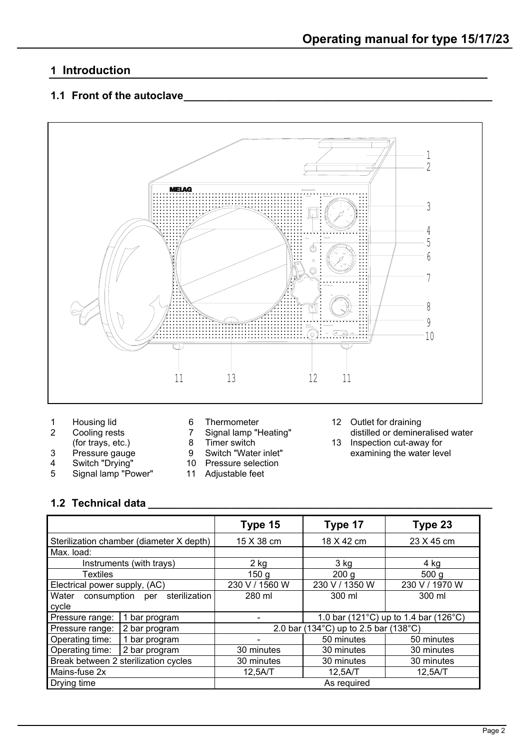## <span id="page-2-0"></span>**1 Introduction**

## <span id="page-2-1"></span>**1.1 Front of the autoclave**



- 
- 
- 
- 
- 4 Switch "Drying" 10 Pressure selection
- 5 Signal lamp "Power" 11 Adjustable feet
- 
- 
- 
- 9 Switch "Water inlet" examining the water level<br>10 Pressure selection
- -
- 1 Housing lid 6 Thermometer 12 Outlet for draining<br>2 Cooling rests 7 Signal lamp "Heating" distilled or deminer

2 Cooling rests 7 Signal lamp "Heating" distilled or demineralised water<br>(for trays, etc.) 8 Timer switch 13 Inspection cut-away for (for trays, etc.) a example and the Suitch of trays, etc.) a examining the water levice of the Suitch Twater inlet the examining the water levice of the Suitch Twater inlet the examining the water levice of the Suitch Twat

## <span id="page-2-2"></span>**1.2 Technical data \_\_\_\_\_\_\_\_\_\_\_\_\_\_\_\_\_\_\_\_\_\_\_\_\_\_\_\_\_\_\_\_\_\_\_\_\_\_\_\_\_\_\_\_\_\_\_\_\_\_\_\_\_\_\_\_\_\_**

|                                           |                                          | Type 15                               | Type 17          | Type 23                               |
|-------------------------------------------|------------------------------------------|---------------------------------------|------------------|---------------------------------------|
|                                           | Sterilization chamber (diameter X depth) | 15 X 38 cm                            | 18 X 42 cm       | 23 X 45 cm                            |
| Max. load:                                |                                          |                                       |                  |                                       |
|                                           | Instruments (with trays)                 | $2$ kg                                | $3$ kg           | 4 kg                                  |
| Textiles                                  |                                          | 150 <sub>g</sub>                      | 200 <sub>g</sub> | 500 <sub>q</sub>                      |
| Electrical power supply, (AC)             |                                          | 230 V / 1560 W                        | 230 V / 1350 W   | 230 V / 1970 W                        |
| sterilization<br>Water<br>consumption per |                                          | 280 ml                                | 300 ml           | 300 ml                                |
| cycle                                     |                                          |                                       |                  |                                       |
| Pressure range:                           | 1 bar program                            |                                       |                  | 1.0 bar (121°C) up to 1.4 bar (126°C) |
| Pressure range:<br>2 bar program          |                                          | 2.0 bar (134°C) up to 2.5 bar (138°C) |                  |                                       |
| Operating time:                           | 1 bar program                            |                                       | 50 minutes       | 50 minutes                            |
| Operating time:                           | 2 bar program                            | 30 minutes                            | 30 minutes       | 30 minutes                            |
|                                           | Break between 2 sterilization cycles     | 30 minutes                            | 30 minutes       | 30 minutes                            |
| Mains-fuse 2x                             |                                          | 12,5A/T                               | 12,5A/T          | 12,5A/T                               |
| Drying time                               |                                          | As required                           |                  |                                       |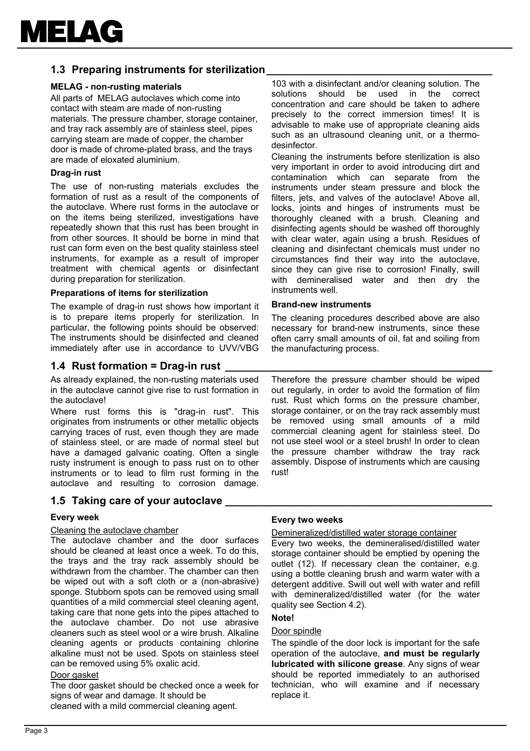## <span id="page-3-0"></span>**1.3 Preparing instruments for sterilization**

#### **MELAG - non-rusting materials**

All parts of MELAG autoclaves which come into contact with steam are made of non-rusting materials. The pressure chamber, storage container, and tray rack assembly are of stainless steel, pipes carrying steam are made of copper, the chamber door is made of chrome-plated brass, and the trays are made of eloxated aluminium.

#### **Drag-in rust**

The use of non-rusting materials excludes the formation of rust as a result of the components of the autoclave. Where rust forms in the autoclave or on the items being sterilized, investigations have repeatedly shown that this rust has been brought in from other sources. It should be borne in mind that rust can form even on the best quality stainless steel instruments, for example as a result of improper treatment with chemical agents or disinfectant during preparation for sterilization.

#### **Preparations of items for sterilization**

The example of drag-in rust shows how important it is to prepare items properly for sterilization. In particular, the following points should be observed: The instruments should be disinfected and cleaned immediately after use in accordance to UVV/VBG

#### <span id="page-3-1"></span>**1.4 Rust formation = Drag-in rust**

As already explained, the non-rusting materials used in the autoclave cannot give rise to rust formation in the autoclave!

Where rust forms this is "drag-in rust". This originates from instruments or other metallic objects carrying traces of rust, even though they are made of stainless steel, or are made of normal steel but have a damaged galvanic coating. Often a single rusty instrument is enough to pass rust on to other instruments or to lead to film rust forming in the autoclave and resulting to corrosion damage.

#### <span id="page-3-2"></span>**1.5 Taking care of your autoclave \_\_\_\_\_\_\_\_\_\_\_\_\_\_\_\_\_\_\_\_\_\_\_\_\_\_\_\_\_\_\_\_\_\_\_\_\_\_\_\_\_\_\_\_\_**

#### **Every week**

#### Cleaning the autoclave chamber

The autoclave chamber and the door surfaces should be cleaned at least once a week. To do this, the trays and the tray rack assembly should be withdrawn from the chamber. The chamber can then be wiped out with a soft cloth or a (non-abrasive) sponge. Stubborn spots can be removed using small quantities of a mild commercial steel cleaning agent, taking care that none gets into the pipes attached to the autoclave chamber. Do not use abrasive cleaners such as steel wool or a wire brush. Alkaline cleaning agents or products containing chlorine alkaline must not be used. Spots on stainless steel can be removed using 5% oxalic acid.

#### Door gasket

The door gasket should be checked once a week for signs of wear and damage. It should be

cleaned with a mild commercial cleaning agent.

103 with a disinfectant and/or cleaning solution. The solutions should be used in the correct concentration and care should be taken to adhere precisely to the correct immersion times! It is advisable to make use of appropriate cleaning aids such as an ultrasound cleaning unit, or a thermodesinfector.

Cleaning the instruments before sterilization is also very important in order to avoid introducing dirt and contamination which can separate from the instruments under steam pressure and block the filters, jets, and valves of the autoclave! Above all, locks, joints and hinges of instruments must be thoroughly cleaned with a brush. Cleaning and disinfecting agents should be washed off thoroughly with clear water, again using a brush. Residues of cleaning and disinfectant chemicals must under no circumstances find their way into the autoclave, since they can give rise to corrosion! Finally, swill with demineralised water and then dry the instruments well.

#### **Brand-new instruments**

The cleaning procedures described above are also necessary for brand-new instruments, since these often carry small amounts of oil, fat and soiling from the manufacturing process.

Therefore the pressure chamber should be wiped out regularly, in order to avoid the formation of film rust. Rust which forms on the pressure chamber, storage container, or on the tray rack assembly must be removed using small amounts of a mild commercial cleaning agent for stainless steel. Do not use steel wool or a steel brush! In order to clean the pressure chamber withdraw the tray rack assembly. Dispose of instruments which are causing rust!

#### **Every two weeks**

Demineralized/distilled water storage container Every two weeks, the demineralised/distilled water

storage container should be emptied by opening the outlet (12). If necessary clean the container, e.g. using a bottle cleaning brush and warm water with a detergent additive. Swill out well with water and refill with demineralized/distilled water (for the water quality see Section 4.2).

#### **Note!**

#### Door spindle

The spindle of the door lock is important for the safe operation of the autoclave, **and must be regularly lubricated with silicone grease**. Any signs of wear should be reported immediately to an authorised technician, who will examine and if necessary replace it.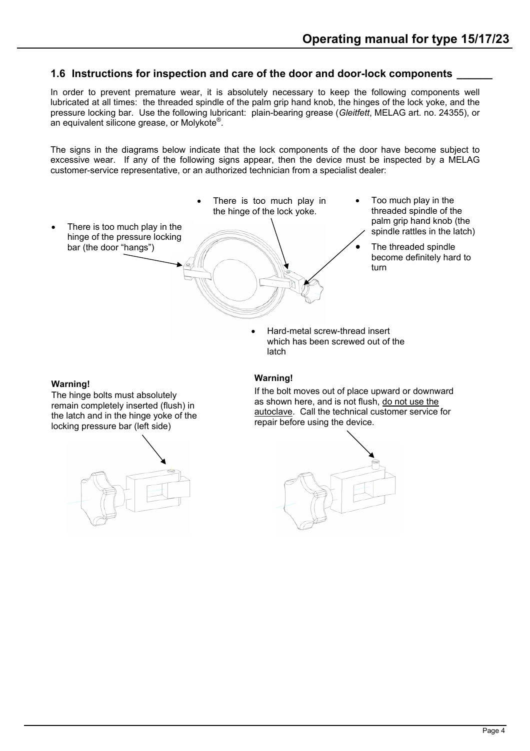## <span id="page-4-0"></span>**1.6 Instructions for inspection and care of the door and door-lock components \_\_\_\_\_\_**

In order to prevent premature wear, it is absolutely necessary to keep the following components well lubricated at all times: the threaded spindle of the palm grip hand knob, the hinges of the lock yoke, and the pressure locking bar. Use the following lubricant: plain-bearing grease (*Gleitfett*, MELAG art. no. 24355), or an equivalent silicone grease, or Molykote® .

The signs in the diagrams below indicate that the lock components of the door have become subject to excessive wear. If any of the following signs appear, then the device must be inspected by a MELAG customer-service representative, or an authorized technician from a specialist dealer:



#### **Warning!**

The hinge bolts must absolutely remain completely inserted (flush) in the latch and in the hinge yoke of the locking pressure bar (left side)



#### **Warning!**

If the bolt moves out of place upward or downward as shown here, and is not flush, do not use the autoclave. Call the technical customer service for repair before using the device.

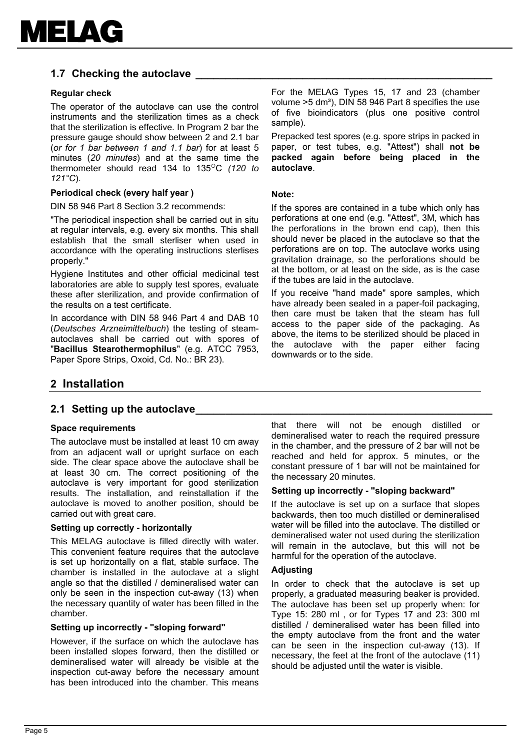

## <span id="page-5-0"></span>**1.7 Checking the autoclave**

#### **Regular check**

The operator of the autoclave can use the control instruments and the sterilization times as a check that the sterilization is effective. In Program 2 bar the pressure gauge should show between 2 and 2.1 bar (*or for 1 bar between 1 and 1.1 bar*) for at least 5 minutes (*20 minutes*) and at the same time the thermometer should read 134 to 135<sup>o</sup>C (120 to *121°C*).

#### **Periodical check (every half year )**

DIN 58 946 Part 8 Section 3.2 recommends:

"The periodical inspection shall be carried out in situ at regular intervals, e.g. every six months. This shall establish that the small sterliser when used in accordance with the operating instructions sterlises properly."

Hygiene Institutes and other official medicinal test laboratories are able to supply test spores, evaluate these after sterilization, and provide confirmation of the results on a test certificate.

In accordance with DIN 58 946 Part 4 and DAB 10 (*Deutsches Arzneimittelbuch*) the testing of steamautoclaves shall be carried out with spores of "**Bacillus Stearothermophilus**" (e.g. ATCC 7953, Paper Spore Strips, Oxoid, Cd. No.: BR 23).

For the MELAG Types 15, 17 and 23 (chamber volume  $>5$  dm<sup>3</sup>), DIN 58 946 Part 8 specifies the use of five bioindicators (plus one positive control sample).

Prepacked test spores (e.g. spore strips in packed in paper, or test tubes, e.g. "Attest") shall **not be packed again before being placed in the autoclave**.

#### **Note:**

If the spores are contained in a tube which only has perforations at one end (e.g. "Attest", 3M, which has the perforations in the brown end cap), then this should never be placed in the autoclave so that the perforations are on top. The autoclave works using gravitation drainage, so the perforations should be at the bottom, or at least on the side, as is the case if the tubes are laid in the autoclave.

If you receive "hand made" spore samples, which have already been sealed in a paper-foil packaging, then care must be taken that the steam has full access to the paper side of the packaging. As above, the items to be sterilized should be placed in the autoclave with the paper either facing downwards or to the side.

## <span id="page-5-1"></span>**2 Installation**

#### <span id="page-5-2"></span>**2.1 Setting up the autoclave**

#### **Space requirements**

The autoclave must be installed at least 10 cm away from an adjacent wall or upright surface on each side. The clear space above the autoclave shall be at least 30 cm. The correct positioning of the autoclave is very important for good sterilization results. The installation, and reinstallation if the autoclave is moved to another position, should be carried out with great care.

#### **Setting up correctly - horizontally**

This MELAG autoclave is filled directly with water. This convenient feature requires that the autoclave is set up horizontally on a flat, stable surface. The chamber is installed in the autoclave at a slight angle so that the distilled / demineralised water can only be seen in the inspection cut-away (13) when the necessary quantity of water has been filled in the chamber.

#### **Setting up incorrectly - "sloping forward"**

However, if the surface on which the autoclave has been installed slopes forward, then the distilled or demineralised water will already be visible at the inspection cut-away before the necessary amount has been introduced into the chamber. This means

that there will not be enough distilled or demineralised water to reach the required pressure in the chamber, and the pressure of 2 bar will not be reached and held for approx. 5 minutes, or the constant pressure of 1 bar will not be maintained for the necessary 20 minutes.

#### **Setting up incorrectly - "sloping backward"**

If the autoclave is set up on a surface that slopes backwards, then too much distilled or demineralised water will be filled into the autoclave. The distilled or demineralised water not used during the sterilization will remain in the autoclave, but this will not be harmful for the operation of the autoclave.

#### **Adjusting**

In order to check that the autoclave is set up properly, a graduated measuring beaker is provided. The autoclave has been set up properly when: for Type 15: 280 ml , or for Types 17 and 23: 300 ml distilled / demineralised water has been filled into the empty autoclave from the front and the water can be seen in the inspection cut-away (13). If necessary, the feet at the front of the autoclave (11) should be adjusted until the water is visible.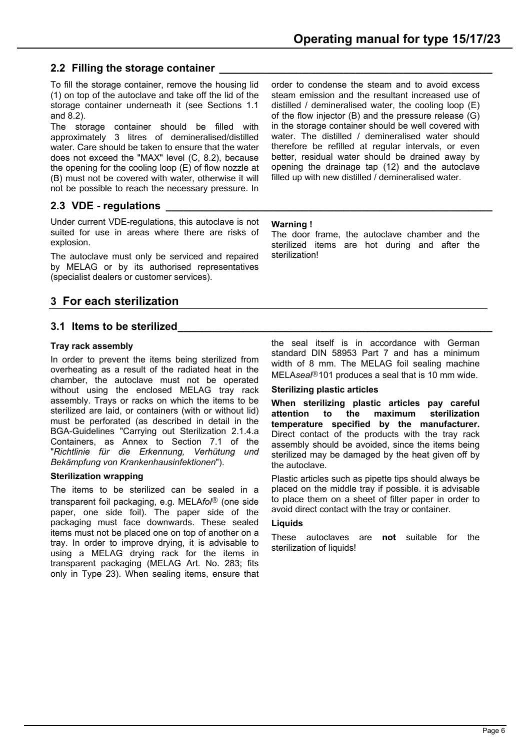## <span id="page-6-0"></span>**2.2 Filling the storage container \_\_\_\_\_\_\_\_\_\_\_\_\_\_\_\_\_\_\_\_\_\_\_\_\_\_\_\_\_\_\_\_\_\_\_\_\_\_\_\_\_\_\_\_\_\_**

To fill the storage container, remove the housing lid (1) on top of the autoclave and take off the lid of the storage container underneath it (see Sections 1.1 and 8.2).

The storage container should be filled with approximately 3 litres of demineralised/distilled water. Care should be taken to ensure that the water does not exceed the "MAX" level (C, 8.2), because the opening for the cooling loop (E) of flow nozzle at (B) must not be covered with water, otherwise it will not be possible to reach the necessary pressure. In

## <span id="page-6-1"></span>**2.3 VDE - regulations \_\_\_\_\_\_\_\_\_\_\_\_\_\_\_\_\_\_\_\_\_\_\_\_\_\_\_\_\_\_\_\_\_\_\_\_\_\_\_\_\_\_\_\_\_\_\_\_\_\_\_\_\_\_\_**

Under current VDE-regulations, this autoclave is not suited for use in areas where there are risks of explosion.

The autoclave must only be serviced and repaired by MELAG or by its authorised representatives (specialist dealers or customer services).

## <span id="page-6-2"></span>**3 For each sterilization**

## <span id="page-6-3"></span>**3.1 Items to be sterilized**

## **Tray rack assembly**

In order to prevent the items being sterilized from overheating as a result of the radiated heat in the chamber, the autoclave must not be operated without using the enclosed MELAG tray rack assembly. Trays or racks on which the items to be sterilized are laid, or containers (with or without lid) must be perforated (as described in detail in the BGA-Guidelines "Carrying out Sterilization 2.1.4.a Containers, as Annex to Section 7.1 of the "*Richtlinie für die Erkennung, Verhütung und Bekämpfung von Krankenhausinfektionen*").

## **Sterilization wrapping**

The items to be sterilized can be sealed in a transparent foil packaging, e.g. MELAfol<sup>®</sup> (one side paper, one side foil). The paper side of the packaging must face downwards. These sealed items must not be placed one on top of another on a tray. In order to improve drying, it is advisable to using a MELAG drying rack for the items in transparent packaging (MELAG Art. No. 283; fits only in Type 23). When sealing items, ensure that order to condense the steam and to avoid excess steam emission and the resultant increased use of distilled / demineralised water, the cooling loop (E) of the flow injector (B) and the pressure release (G) in the storage container should be well covered with water. The distilled / demineralised water should therefore be refilled at regular intervals, or even better, residual water should be drained away by opening the drainage tap (12) and the autoclave filled up with new distilled / demineralised water.

#### **Warning !**

The door frame, the autoclave chamber and the sterilized items are hot during and after the sterilization!

the seal itself is in accordance with German standard DIN 58953 Part 7 and has a minimum width of 8 mm. The MELAG foil sealing machine MELAsea<sup>/®</sup>101 produces a seal that is 10 mm wide.

#### **Sterilizing plastic articles**

**When sterilizing plastic articles pay careful attention to the maximum sterilization temperature specified by the manufacturer.** Direct contact of the products with the tray rack assembly should be avoided, since the items being sterilized may be damaged by the heat given off by the autoclave.

Plastic articles such as pipette tips should always be placed on the middle tray if possible. it is advisable to place them on a sheet of filter paper in order to avoid direct contact with the tray or container.

#### **Liquids**

These autoclaves are **not** suitable for the sterilization of liquids!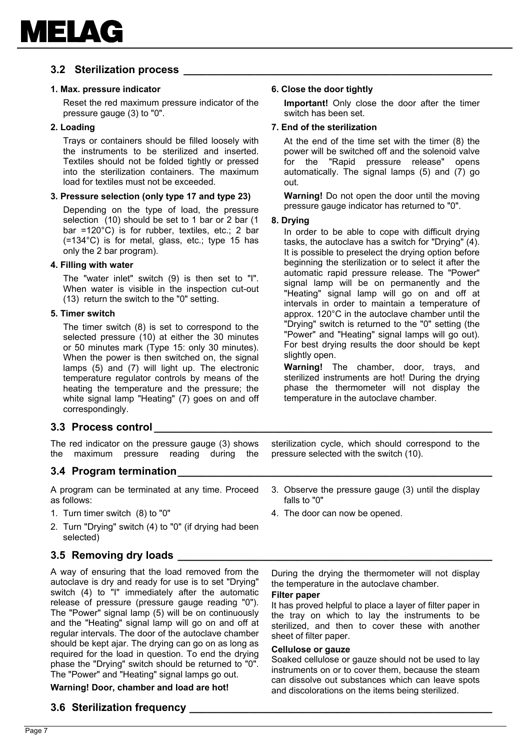## <span id="page-7-0"></span>**3.2 Sterilization process \_\_\_\_\_\_\_\_\_\_\_\_\_\_\_\_\_\_\_\_\_\_\_\_\_\_\_\_\_\_\_\_\_\_\_\_\_\_\_\_\_\_\_\_\_\_\_\_\_\_\_\_**

#### **1. Max. pressure indicator**

Reset the red maximum pressure indicator of the pressure gauge (3) to "0".

#### **2. Loading**

Trays or containers should be filled loosely with the instruments to be sterilized and inserted. Textiles should not be folded tightly or pressed into the sterilization containers. The maximum load for textiles must not be exceeded.

#### **3. Pressure selection (only type 17 and type 23)**

Depending on the type of load, the pressure selection (10) should be set to 1 bar or 2 bar (1 bar =120°C) is for rubber, textiles, etc.; 2 bar (=134°C) is for metal, glass, etc.; type 15 has only the 2 bar program).

#### **4. Filling with water**

The "water inlet" switch (9) is then set to "I". When water is visible in the inspection cut-out (13) return the switch to the "0" setting.

#### **5. Timer switch**

The timer switch (8) is set to correspond to the selected pressure (10) at either the 30 minutes or 50 minutes mark (Type 15: only 30 minutes). When the power is then switched on, the signal lamps (5) and (7) will light up. The electronic temperature regulator controls by means of the heating the temperature and the pressure; the white signal lamp "Heating" (7) goes on and off correspondingly.

#### <span id="page-7-1"></span>**3.3 Process control \_\_\_\_\_\_\_\_\_\_\_\_\_\_\_\_\_\_\_\_\_\_\_\_\_\_\_\_\_\_\_\_\_\_\_\_\_\_\_\_\_\_\_\_\_\_\_\_\_\_\_\_\_\_\_\_\_**

The red indicator on the pressure gauge (3) shows the maximum pressure reading during the

#### <span id="page-7-2"></span>**3.4 Program termination**

A program can be terminated at any time. Proceed as follows:

- 1. Turn timer switch (8) to "0"
- 2. Turn "Drying" switch (4) to "0" (if drying had been selected)

## <span id="page-7-3"></span>**3.5 Removing dry loads \_\_\_\_\_\_\_\_\_\_\_\_\_\_\_\_\_\_\_\_\_\_\_\_\_\_\_\_\_\_\_\_\_\_\_\_\_\_\_\_\_\_\_\_\_\_\_\_\_\_\_\_\_**

A way of ensuring that the load removed from the autoclave is dry and ready for use is to set "Drying" switch (4) to "I" immediately after the automatic release of pressure (pressure gauge reading "0"). The "Power" signal lamp (5) will be on continuously and the "Heating" signal lamp will go on and off at regular intervals. The door of the autoclave chamber should be kept ajar. The drying can go on as long as required for the load in question. To end the drying phase the "Drying" switch should be returned to "0". The "Power" and "Heating" signal lamps go out.

## **Warning! Door, chamber and load are hot!**

## <span id="page-7-4"></span>**3.6 Sterilization frequency \_\_\_\_\_\_\_\_\_\_\_\_\_\_\_\_\_\_\_\_\_\_\_\_\_\_\_\_\_\_\_\_\_\_\_\_\_\_\_\_\_\_\_\_\_\_\_\_\_\_\_**

#### **6. Close the door tightly**

**Important!** Only close the door after the timer switch has been set.

#### **7. End of the sterilization**

At the end of the time set with the timer (8) the power will be switched off and the solenoid valve for the "Rapid pressure release" opens automatically. The signal lamps (5) and (7) go out.

**Warning!** Do not open the door until the moving pressure gauge indicator has returned to "0".

#### **8. Drying**

In order to be able to cope with difficult drying tasks, the autoclave has a switch for "Drying" (4). It is possible to preselect the drying option before beginning the sterilization or to select it after the automatic rapid pressure release. The "Power" signal lamp will be on permanently and the "Heating" signal lamp will go on and off at intervals in order to maintain a temperature of approx. 120°C in the autoclave chamber until the "Drying" switch is returned to the "0" setting (the "Power" and "Heating" signal lamps will go out). For best drying results the door should be kept slightly open.

**Warning!** The chamber, door, trays, and sterilized instruments are hot! During the drying phase the thermometer will not display the temperature in the autoclave chamber.

sterilization cycle, which should correspond to the pressure selected with the switch (10).

- 3. Observe the pressure gauge (3) until the display falls to "0"
- 4. The door can now be opened.

During the drying the thermometer will not display the temperature in the autoclave chamber.

#### **Filter paper**

It has proved helpful to place a layer of filter paper in the tray on which to lay the instruments to be sterilized, and then to cover these with another sheet of filter paper.

#### **Cellulose or gauze**

Soaked cellulose or gauze should not be used to lay instruments on or to cover them, because the steam can dissolve out substances which can leave spots and discolorations on the items being sterilized.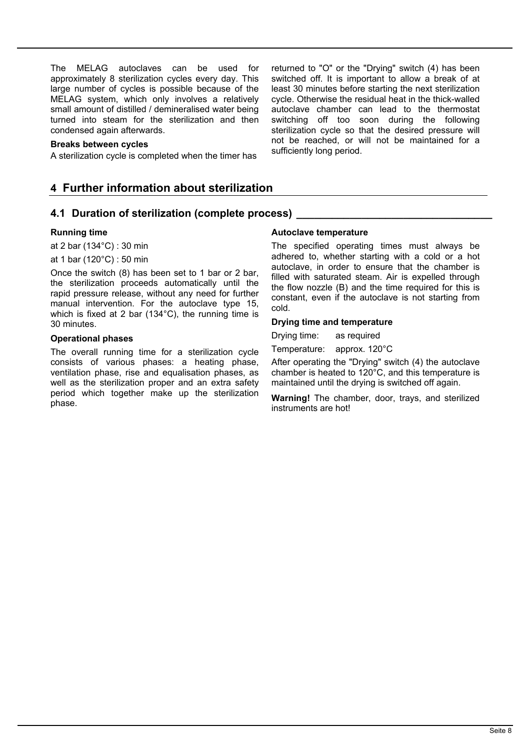The MELAG autoclaves can be used for approximately 8 sterilization cycles every day. This large number of cycles is possible because of the MELAG system, which only involves a relatively small amount of distilled / demineralised water being turned into steam for the sterilization and then condensed again afterwards.

#### **Breaks between cycles**

A sterilization cycle is completed when the timer has

## <span id="page-8-0"></span>**4 Further information about sterilization**

#### <span id="page-8-1"></span>**4.1 Duration of sterilization (complete process) \_\_\_\_\_\_\_\_\_\_\_\_\_\_\_\_\_\_\_\_\_\_\_\_\_\_\_\_\_\_\_\_\_**

#### **Running time**

at 2 bar (134°C) : 30 min

at 1 bar (120°C) : 50 min

Once the switch (8) has been set to 1 bar or 2 bar, the sterilization proceeds automatically until the rapid pressure release, without any need for further manual intervention. For the autoclave type 15, which is fixed at 2 bar (134°C), the running time is 30 minutes.

#### **Operational phases**

The overall running time for a sterilization cycle consists of various phases: a heating phase, ventilation phase, rise and equalisation phases, as well as the sterilization proper and an extra safety period which together make up the sterilization phase.

#### switched off. It is important to allow a break of at least 30 minutes before starting the next sterilization cycle. Otherwise the residual heat in the thick-walled autoclave chamber can lead to the thermostat switching off too soon during the following sterilization cycle so that the desired pressure will not be reached, or will not be maintained for a sufficiently long period.

returned to "O" or the "Drying" switch (4) has been

#### **Autoclave temperature**

The specified operating times must always be adhered to, whether starting with a cold or a hot autoclave, in order to ensure that the chamber is filled with saturated steam. Air is expelled through the flow nozzle (B) and the time required for this is constant, even if the autoclave is not starting from cold.

#### **Drying time and temperature**

Drying time: as required

Temperature: approx. 120°C

After operating the "Drying" switch (4) the autoclave chamber is heated to 120°C, and this temperature is maintained until the drying is switched off again.

**Warning!** The chamber, door, trays, and sterilized instruments are hot!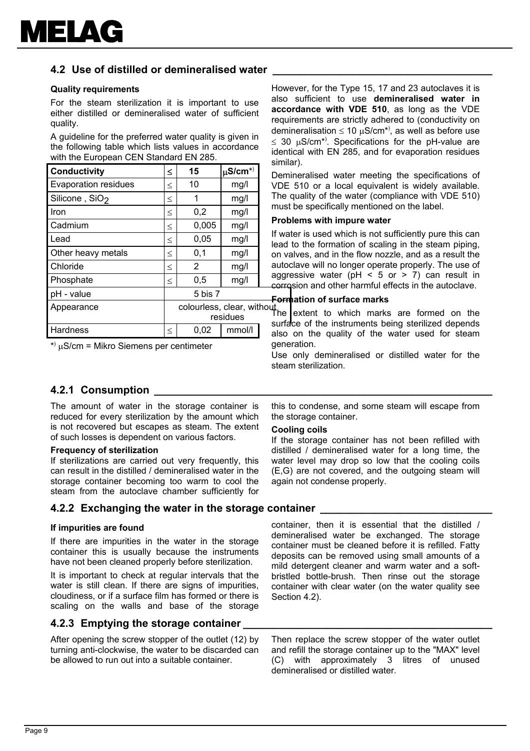

## **4.2 Use of distilled or demineralised water \_\_\_\_\_\_\_\_\_\_\_\_\_\_\_\_\_\_\_\_\_\_\_\_\_\_\_\_\_\_\_\_\_\_\_\_\_**

#### **Quality requirements**

For the steam sterilization it is important to use either distilled or demineralised water of sufficient quality.

A guideline for the preferred water quality is given in the following table which lists values in accordance with the European CEN Standard EN 285.

| <b>Conductivity</b>                      |        | 15      | $\mu$ S/cm <sup>*)</sup> | D              |
|------------------------------------------|--------|---------|--------------------------|----------------|
| <b>Evaporation residues</b>              |        | 10      | mg/l                     | V              |
| Silicone, SiO <sub>2</sub>               |        | 1       | mg/l                     | TI             |
| Iron                                     | $\leq$ | 0,2     | mg/l                     | m              |
| Cadmium                                  | $\leq$ | 0,005   | mg/l                     | P <sub>1</sub> |
| Lead                                     | $\leq$ | 0,05    | mg/l                     | lf<br>le       |
| Other heavy metals                       | $\leq$ | 0,1     | mg/l                     | 0ľ             |
| Chloride                                 | $\leq$ | 2       | mg/l                     | aι             |
| Phosphate                                | $\leq$ | 0,5     | mg/l                     | a<br>cc        |
| pH - value                               |        | 5 bis 7 |                          | F٥             |
| colourless, clear, without<br>Appearance |        |         |                          |                |
|                                          |        |         | residues                 |                |
| Hardness                                 | $\leq$ | 0,02    | mmol/l                   | sι<br>al       |

\* ) µS/cm = Mikro Siemens per centimeter

However, for the Type 15, 17 and 23 autoclaves it is also sufficient to use **demineralised water in accordance with VDE 510**, as long as the VDE requirements are strictly adhered to (conductivity on demineralisation  $\leq 10 \mu\text{S/cm}^*$ , as well as before use  $\leq$  30 µS/cm<sup>\*)</sup>. Specifications for the pH-value are identical with EN 285, and for evaporation residues similar).

Demineralised water meeting the specifications of VDE 510 or a local equivalent is widely available. The quality of the water (compliance with VDE 510) must be specifically mentioned on the label.

#### **Problems with impure water**

If water is used which is not sufficiently pure this can lead to the formation of scaling in the steam piping, on valves, and in the flow nozzle, and as a result the autoclave will no longer operate properly. The use of aggressive water ( $pH < 5$  or  $> 7$ ) can result in corrosion and other harmful effects in the autoclave.

#### **Formation of surface marks**

hout<br>The extent to which marks are formed on the surface of the instruments being sterilized depends also on the quality of the water used for steam generation.

Use only demineralised or distilled water for the steam sterilization.

## **4.2.1 Consumption \_\_\_\_\_\_\_\_\_\_\_\_\_\_\_\_\_\_\_\_\_\_\_\_\_\_\_\_\_\_\_\_\_\_\_\_\_\_\_\_\_\_\_\_\_\_\_\_\_\_\_\_\_\_\_\_\_**

<span id="page-9-0"></span>The amount of water in the storage container is reduced for every sterilization by the amount which is not recovered but escapes as steam. The extent of such losses is dependent on various factors.

#### **Frequency of sterilization**

If sterilizations are carried out very frequently, this can result in the distilled / demineralised water in the storage container becoming too warm to cool the steam from the autoclave chamber sufficiently for

#### **4.2.2 Exchanging the water in the storage container \_\_\_\_\_\_\_\_\_\_\_\_\_\_\_\_\_\_\_\_\_\_\_\_\_\_\_\_\_**

#### **If impurities are found**

If there are impurities in the water in the storage container this is usually because the instruments have not been cleaned properly before sterilization.

It is important to check at regular intervals that the water is still clean. If there are signs of impurities, cloudiness, or if a surface film has formed or there is scaling on the walls and base of the storage

#### **4.2.3 Emptying the storage container \_\_\_\_\_\_\_\_\_\_\_\_\_\_\_\_\_\_\_\_\_\_\_\_\_\_\_\_\_\_\_\_\_\_\_\_\_\_\_\_\_\_**

After opening the screw stopper of the outlet (12) by turning anti-clockwise, the water to be discarded can be allowed to run out into a suitable container.

this to condense, and some steam will escape from the storage container.

#### **Cooling coils**

If the storage container has not been refilled with distilled / demineralised water for a long time, the water level may drop so low that the cooling coils (E,G) are not covered, and the outgoing steam will again not condense properly.

container, then it is essential that the distilled / demineralised water be exchanged. The storage container must be cleaned before it is refilled. Fatty deposits can be removed using small amounts of a mild detergent cleaner and warm water and a softbristled bottle-brush. Then rinse out the storage container with clear water (on the water quality see Section 4.2).

Then replace the screw stopper of the water outlet and refill the storage container up to the "MAX" level (C) with approximately 3 litres of unused demineralised or distilled water.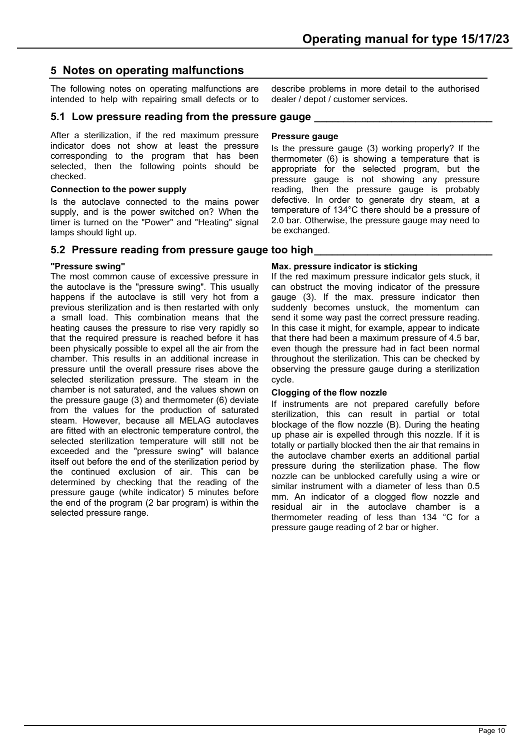## <span id="page-10-0"></span>**5 Notes on operating malfunctions**

The following notes on operating malfunctions are intended to help with repairing small defects or to

## <span id="page-10-1"></span>**5.1 Low pressure reading from the pressure gauge**

After a sterilization, if the red maximum pressure indicator does not show at least the pressure corresponding to the program that has been selected, then the following points should be checked.

## **Connection to the power supply**

Is the autoclave connected to the mains power supply, and is the power switched on? When the timer is turned on the "Power" and "Heating" signal lamps should light up.

## <span id="page-10-2"></span>**5.2 Pressure reading from pressure gauge too high**

## **"Pressure swing"**

The most common cause of excessive pressure in the autoclave is the "pressure swing". This usually happens if the autoclave is still very hot from a previous sterilization and is then restarted with only a small load. This combination means that the heating causes the pressure to rise very rapidly so that the required pressure is reached before it has been physically possible to expel all the air from the chamber. This results in an additional increase in pressure until the overall pressure rises above the selected sterilization pressure. The steam in the chamber is not saturated, and the values shown on the pressure gauge (3) and thermometer (6) deviate from the values for the production of saturated steam. However, because all MELAG autoclaves are fitted with an electronic temperature control, the selected sterilization temperature will still not be exceeded and the "pressure swing" will balance itself out before the end of the sterilization period by the continued exclusion of air. This can be determined by checking that the reading of the pressure gauge (white indicator) 5 minutes before the end of the program (2 bar program) is within the selected pressure range.

## **Pressure gauge**

dealer / depot / customer services.

Is the pressure gauge (3) working properly? If the thermometer (6) is showing a temperature that is appropriate for the selected program, but the pressure gauge is not showing any pressure reading, then the pressure gauge is probably defective. In order to generate dry steam, at a temperature of 134°C there should be a pressure of 2.0 bar. Otherwise, the pressure gauge may need to be exchanged.

describe problems in more detail to the authorised

## **Max. pressure indicator is sticking**

If the red maximum pressure indicator gets stuck, it can obstruct the moving indicator of the pressure gauge (3). If the max. pressure indicator then suddenly becomes unstuck, the momentum can send it some way past the correct pressure reading. In this case it might, for example, appear to indicate that there had been a maximum pressure of 4.5 bar, even though the pressure had in fact been normal throughout the sterilization. This can be checked by observing the pressure gauge during a sterilization cycle.

## **Clogging of the flow nozzle**

If instruments are not prepared carefully before sterilization, this can result in partial or total blockage of the flow nozzle (B). During the heating up phase air is expelled through this nozzle. If it is totally or partially blocked then the air that remains in the autoclave chamber exerts an additional partial pressure during the sterilization phase. The flow nozzle can be unblocked carefully using a wire or similar instrument with a diameter of less than 0.5 mm. An indicator of a clogged flow nozzle and residual air in the autoclave chamber is a thermometer reading of less than 134 °C for a pressure gauge reading of 2 bar or higher.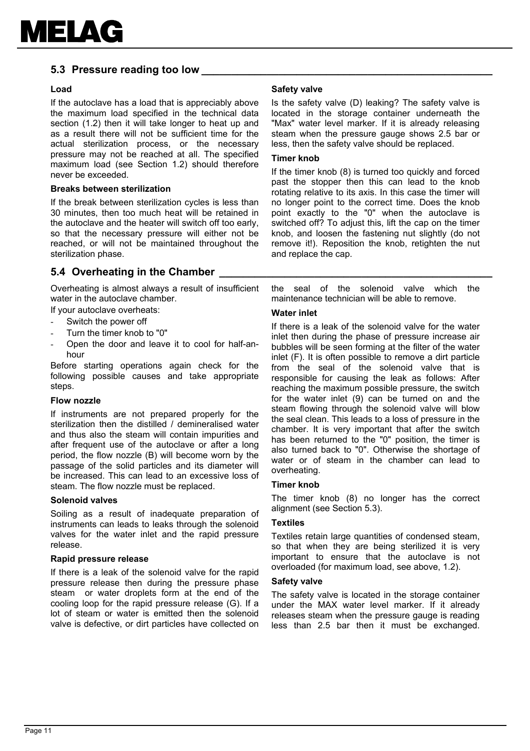

## <span id="page-11-0"></span>**5.3 Pressure reading too low**

#### **Load**

If the autoclave has a load that is appreciably above the maximum load specified in the technical data section (1.2) then it will take longer to heat up and as a result there will not be sufficient time for the actual sterilization process, or the necessary pressure may not be reached at all. The specified maximum load (see Section 1.2) should therefore never be exceeded.

#### **Breaks between sterilization**

If the break between sterilization cycles is less than 30 minutes, then too much heat will be retained in the autoclave and the heater will switch off too early, so that the necessary pressure will either not be reached, or will not be maintained throughout the sterilization phase.

## <span id="page-11-1"></span>**5.4 Overheating in the Chamber**

Overheating is almost always a result of insufficient water in the autoclave chamber.

If your autoclave overheats:

- Switch the power off
- Turn the timer knob to "0"
- Open the door and leave it to cool for half-anhour

Before starting operations again check for the following possible causes and take appropriate steps.

#### **Flow nozzle**

If instruments are not prepared properly for the sterilization then the distilled / demineralised water and thus also the steam will contain impurities and after frequent use of the autoclave or after a long period, the flow nozzle (B) will become worn by the passage of the solid particles and its diameter will be increased. This can lead to an excessive loss of steam. The flow nozzle must be replaced.

#### **Solenoid valves**

Soiling as a result of inadequate preparation of instruments can leads to leaks through the solenoid valves for the water inlet and the rapid pressure release.

#### **Rapid pressure release**

If there is a leak of the solenoid valve for the rapid pressure release then during the pressure phase steam or water droplets form at the end of the cooling loop for the rapid pressure release (G). If a lot of steam or water is emitted then the solenoid valve is defective, or dirt particles have collected on

#### **Safety valve**

Is the safety valve (D) leaking? The safety valve is located in the storage container underneath the "Max" water level marker. If it is already releasing steam when the pressure gauge shows 2.5 bar or less, then the safety valve should be replaced.

#### **Timer knob**

If the timer knob (8) is turned too quickly and forced past the stopper then this can lead to the knob rotating relative to its axis. In this case the timer will no longer point to the correct time. Does the knob point exactly to the "0" when the autoclave is switched off? To adjust this, lift the cap on the timer knob, and loosen the fastening nut slightly (do not remove it!). Reposition the knob, retighten the nut and replace the cap.

the seal of the solenoid valve which the maintenance technician will be able to remove.

#### **Water inlet**

If there is a leak of the solenoid valve for the water inlet then during the phase of pressure increase air bubbles will be seen forming at the filter of the water inlet (F). It is often possible to remove a dirt particle from the seal of the solenoid valve that is responsible for causing the leak as follows: After reaching the maximum possible pressure, the switch for the water inlet (9) can be turned on and the steam flowing through the solenoid valve will blow the seal clean. This leads to a loss of pressure in the chamber. It is very important that after the switch has been returned to the "0" position, the timer is also turned back to "0". Otherwise the shortage of water or of steam in the chamber can lead to overheating.

#### **Timer knob**

The timer knob (8) no longer has the correct alignment (see Section 5.3).

#### **Textiles**

Textiles retain large quantities of condensed steam, so that when they are being sterilized it is very important to ensure that the autoclave is not overloaded (for maximum load, see above, 1.2).

#### **Safety valve**

The safety valve is located in the storage container under the MAX water level marker. If it already releases steam when the pressure gauge is reading less than 2.5 bar then it must be exchanged.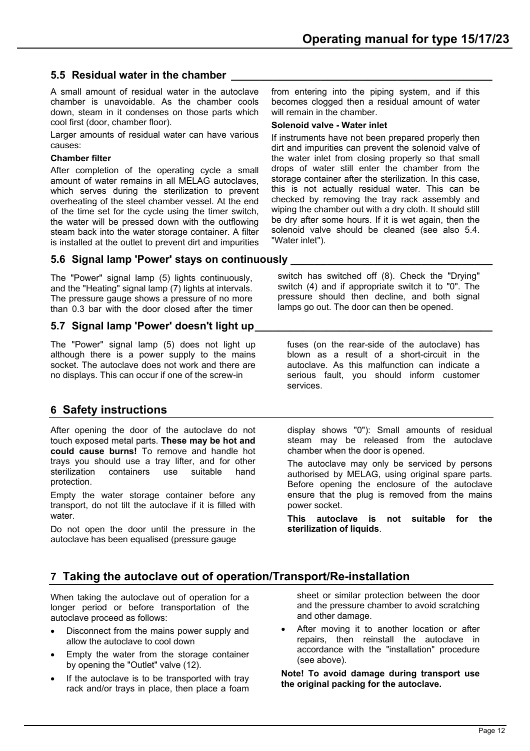## <span id="page-12-0"></span>**5.5 Residual water in the chamber**

A small amount of residual water in the autoclave chamber is unavoidable. As the chamber cools down, steam in it condenses on those parts which cool first (door, chamber floor).

Larger amounts of residual water can have various causes:

## **Chamber filter**

After completion of the operating cycle a small amount of water remains in all MELAG autoclaves, which serves during the sterilization to prevent overheating of the steel chamber vessel. At the end of the time set for the cycle using the timer switch, the water will be pressed down with the outflowing steam back into the water storage container. A filter is installed at the outlet to prevent dirt and impurities from entering into the piping system, and if this becomes clogged then a residual amount of water will remain in the chamber.

## **Solenoid valve - Water inlet**

If instruments have not been prepared properly then dirt and impurities can prevent the solenoid valve of the water inlet from closing properly so that small drops of water still enter the chamber from the storage container after the sterilization. In this case, this is not actually residual water. This can be checked by removing the tray rack assembly and wiping the chamber out with a dry cloth. It should still be dry after some hours. If it is wet again, then the solenoid valve should be cleaned (see also 5.4. "Water inlet").

## <span id="page-12-1"></span>**5.6 Signal lamp 'Power' stays on continuously \_\_\_\_\_\_\_\_\_\_\_\_\_\_\_\_\_\_\_\_\_\_\_\_\_\_\_\_\_\_\_\_\_\_**

The "Power" signal lamp (5) lights continuously, and the "Heating" signal lamp (7) lights at intervals. The pressure gauge shows a pressure of no more than 0.3 bar with the door closed after the timer

## <span id="page-12-2"></span>**5.7 Signal lamp 'Power' doesn't light up**

The "Power" signal lamp (5) does not light up although there is a power supply to the mains socket. The autoclave does not work and there are no displays. This can occur if one of the screw-in

## <span id="page-12-3"></span>**6 Safety instructions**

After opening the door of the autoclave do not touch exposed metal parts. **These may be hot and could cause burns!** To remove and handle hot trays you should use a tray lifter, and for other<br>sterilization containers use suitable hand sterilization containers use suitable hand protection.

Empty the water storage container before any transport, do not tilt the autoclave if it is filled with water.

Do not open the door until the pressure in the autoclave has been equalised (pressure gauge

switch has switched off (8). Check the "Drying" switch (4) and if appropriate switch it to "0". The pressure should then decline, and both signal lamps go out. The door can then be opened.

fuses (on the rear-side of the autoclave) has blown as a result of a short-circuit in the autoclave. As this malfunction can indicate a serious fault, you should inform customer services.

display shows "0"): Small amounts of residual steam may be released from the autoclave chamber when the door is opened.

The autoclave may only be serviced by persons authorised by MELAG, using original spare parts. Before opening the enclosure of the autoclave ensure that the plug is removed from the mains power socket.

**This autoclave is not suitable for the sterilization of liquids**.

## <span id="page-12-4"></span>**7 Taking the autoclave out of operation/Transport/Re-installation**

When taking the autoclave out of operation for a longer period or before transportation of the autoclave proceed as follows:

- Disconnect from the mains power supply and allow the autoclave to cool down
- Empty the water from the storage container by opening the "Outlet" valve (12).
- If the autoclave is to be transported with tray rack and/or trays in place, then place a foam

sheet or similar protection between the door and the pressure chamber to avoid scratching and other damage.

After moving it to another location or after repairs, then reinstall the autoclave in accordance with the "installation" procedure (see above).

**Note! To avoid damage during transport use the original packing for the autoclave.**